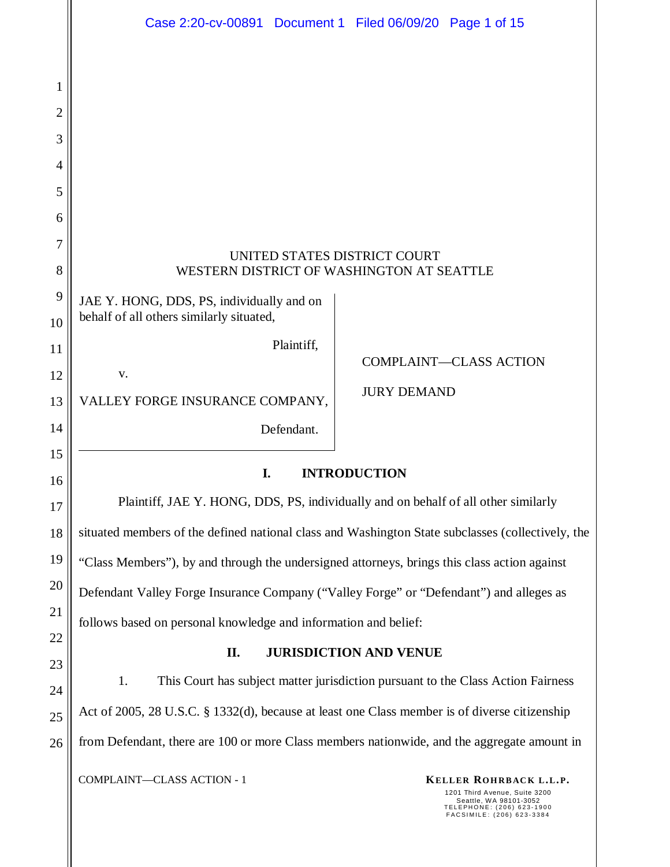|          | Case 2:20-cv-00891 Document 1 Filed 06/09/20 Page 1 of 15                                         |                                                                                                                                             |  |  |  |  |  |
|----------|---------------------------------------------------------------------------------------------------|---------------------------------------------------------------------------------------------------------------------------------------------|--|--|--|--|--|
|          |                                                                                                   |                                                                                                                                             |  |  |  |  |  |
| 1        |                                                                                                   |                                                                                                                                             |  |  |  |  |  |
| 2        |                                                                                                   |                                                                                                                                             |  |  |  |  |  |
| 3        |                                                                                                   |                                                                                                                                             |  |  |  |  |  |
| 4        |                                                                                                   |                                                                                                                                             |  |  |  |  |  |
| 5        |                                                                                                   |                                                                                                                                             |  |  |  |  |  |
| 6        |                                                                                                   |                                                                                                                                             |  |  |  |  |  |
| 7<br>8   | UNITED STATES DISTRICT COURT<br>WESTERN DISTRICT OF WASHINGTON AT SEATTLE                         |                                                                                                                                             |  |  |  |  |  |
| 9<br>10  | JAE Y. HONG, DDS, PS, individually and on<br>behalf of all others similarly situated,             |                                                                                                                                             |  |  |  |  |  |
| 11       | Plaintiff,                                                                                        |                                                                                                                                             |  |  |  |  |  |
| 12       | V.                                                                                                | <b>COMPLAINT-CLASS ACTION</b>                                                                                                               |  |  |  |  |  |
| 13       | VALLEY FORGE INSURANCE COMPANY,                                                                   | <b>JURY DEMAND</b>                                                                                                                          |  |  |  |  |  |
| 14       | Defendant.                                                                                        |                                                                                                                                             |  |  |  |  |  |
| 15       |                                                                                                   |                                                                                                                                             |  |  |  |  |  |
| 16       | I.<br><b>INTRODUCTION</b>                                                                         |                                                                                                                                             |  |  |  |  |  |
| 17       |                                                                                                   | Plaintiff, JAE Y. HONG, DDS, PS, individually and on behalf of all other similarly                                                          |  |  |  |  |  |
| 18       | situated members of the defined national class and Washington State subclasses (collectively, the |                                                                                                                                             |  |  |  |  |  |
| 19       | "Class Members"), by and through the undersigned attorneys, brings this class action against      |                                                                                                                                             |  |  |  |  |  |
| 20       | Defendant Valley Forge Insurance Company ("Valley Forge" or "Defendant") and alleges as           |                                                                                                                                             |  |  |  |  |  |
| 21       | follows based on personal knowledge and information and belief:                                   |                                                                                                                                             |  |  |  |  |  |
| 22       | <b>JURISDICTION AND VENUE</b><br>П.                                                               |                                                                                                                                             |  |  |  |  |  |
| 23       | 1.<br>This Court has subject matter jurisdiction pursuant to the Class Action Fairness            |                                                                                                                                             |  |  |  |  |  |
| 24<br>25 | Act of 2005, 28 U.S.C. § 1332(d), because at least one Class member is of diverse citizenship     |                                                                                                                                             |  |  |  |  |  |
| 26       | from Defendant, there are 100 or more Class members nationwide, and the aggregate amount in       |                                                                                                                                             |  |  |  |  |  |
|          |                                                                                                   |                                                                                                                                             |  |  |  |  |  |
|          | COMPLAINT-CLASS ACTION - 1                                                                        | KELLER ROHRBACK L.L.P.<br>1201 Third Avenue, Suite 3200<br>Seattle, WA 98101-3052<br>TELEPHONE: (206) 623-1900<br>FACSIMILE: (206) 623-3384 |  |  |  |  |  |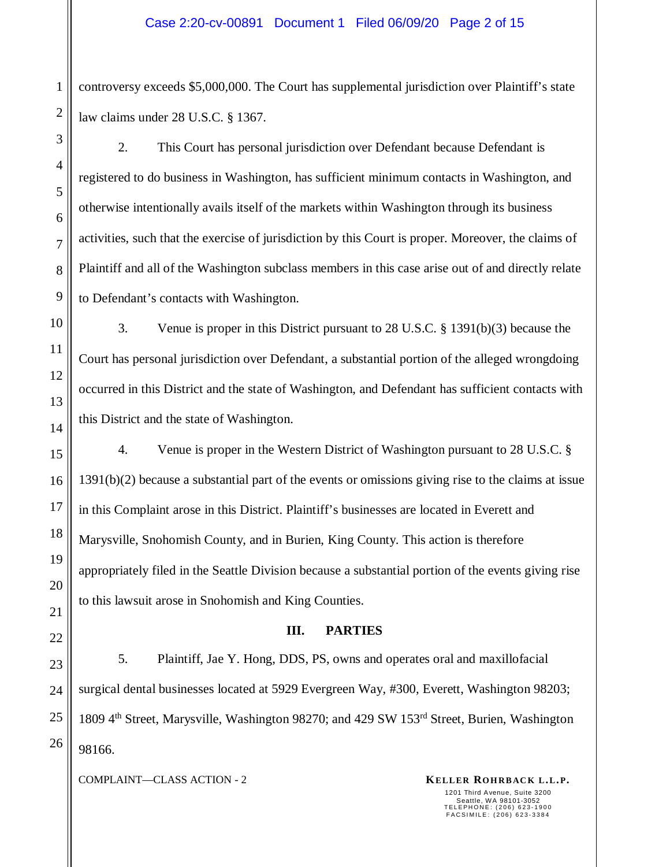controversy exceeds \$5,000,000. The Court has supplemental jurisdiction over Plaintiff's state law claims under 28 U.S.C. § 1367.

2. This Court has personal jurisdiction over Defendant because Defendant is registered to do business in Washington, has sufficient minimum contacts in Washington, and otherwise intentionally avails itself of the markets within Washington through its business activities, such that the exercise of jurisdiction by this Court is proper. Moreover, the claims of Plaintiff and all of the Washington subclass members in this case arise out of and directly relate to Defendant's contacts with Washington.

3. Venue is proper in this District pursuant to 28 U.S.C. § 1391(b)(3) because the Court has personal jurisdiction over Defendant, a substantial portion of the alleged wrongdoing occurred in this District and the state of Washington, and Defendant has sufficient contacts with this District and the state of Washington.

4. Venue is proper in the Western District of Washington pursuant to 28 U.S.C. § 1391(b)(2) because a substantial part of the events or omissions giving rise to the claims at issue in this Complaint arose in this District. Plaintiff's businesses are located in Everett and Marysville, Snohomish County, and in Burien, King County. This action is therefore appropriately filed in the Seattle Division because a substantial portion of the events giving rise to this lawsuit arose in Snohomish and King Counties.

#### **III. PARTIES**

5. Plaintiff, Jae Y. Hong, DDS, PS, owns and operates oral and maxillofacial surgical dental businesses located at 5929 Evergreen Way, #300, Everett, Washington 98203; 1809 4<sup>th</sup> Street, Marysville, Washington 98270; and 429 SW 153<sup>rd</sup> Street, Burien, Washington 98166.

**COMPLAINT—CLASS ACTION - 2 KELLER ROHRBACK L.L.P.**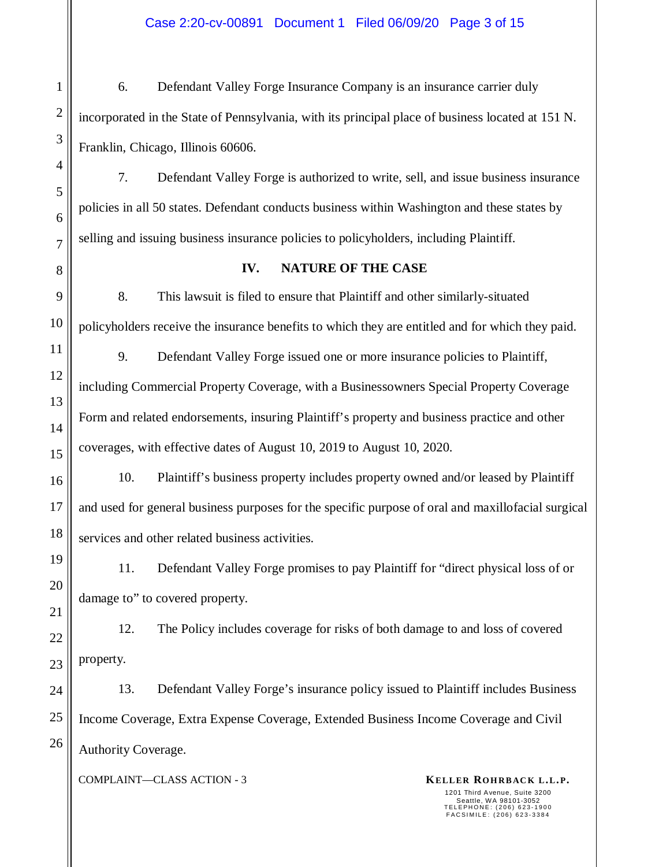6. Defendant Valley Forge Insurance Company is an insurance carrier duly incorporated in the State of Pennsylvania, with its principal place of business located at 151 N. Franklin, Chicago, Illinois 60606.

7. Defendant Valley Forge is authorized to write, sell, and issue business insurance policies in all 50 states. Defendant conducts business within Washington and these states by selling and issuing business insurance policies to policyholders, including Plaintiff.

#### **IV. NATURE OF THE CASE**

8. This lawsuit is filed to ensure that Plaintiff and other similarly-situated policyholders receive the insurance benefits to which they are entitled and for which they paid.

9. Defendant Valley Forge issued one or more insurance policies to Plaintiff, including Commercial Property Coverage, with a Businessowners Special Property Coverage Form and related endorsements, insuring Plaintiff's property and business practice and other coverages, with effective dates of August 10, 2019 to August 10, 2020.

10. Plaintiff's business property includes property owned and/or leased by Plaintiff and used for general business purposes for the specific purpose of oral and maxillofacial surgical services and other related business activities.

11. Defendant Valley Forge promises to pay Plaintiff for "direct physical loss of or damage to" to covered property.

12. The Policy includes coverage for risks of both damage to and loss of covered property.

13. Defendant Valley Forge's insurance policy issued to Plaintiff includes Business Income Coverage, Extra Expense Coverage, Extended Business Income Coverage and Civil Authority Coverage.

**COMPLAINT—CLASS ACTION - 3 KELLER ROHRBACK L.L.P.**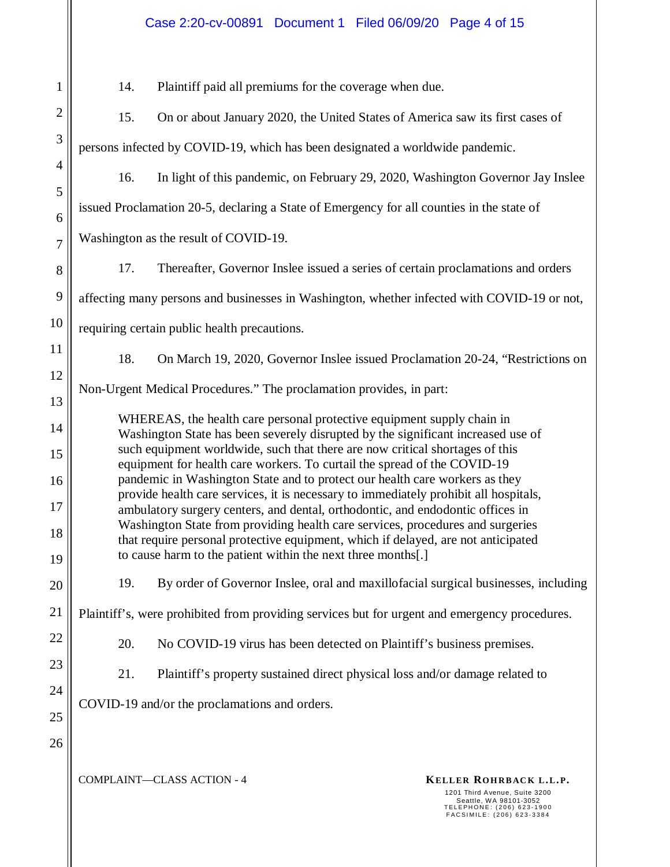# Case 2:20-cv-00891 Document 1 Filed 06/09/20 Page 4 of 15

| 1              | 14.                                                                                  | Plaintiff paid all premiums for the coverage when due.                                                                                                              |                                                                                                                                             |  |  |  |
|----------------|--------------------------------------------------------------------------------------|---------------------------------------------------------------------------------------------------------------------------------------------------------------------|---------------------------------------------------------------------------------------------------------------------------------------------|--|--|--|
| $\mathbf{2}$   | 15.<br>On or about January 2020, the United States of America saw its first cases of |                                                                                                                                                                     |                                                                                                                                             |  |  |  |
| 3              | persons infected by COVID-19, which has been designated a worldwide pandemic.        |                                                                                                                                                                     |                                                                                                                                             |  |  |  |
| $\overline{4}$ | 16.                                                                                  | In light of this pandemic, on February 29, 2020, Washington Governor Jay Inslee                                                                                     |                                                                                                                                             |  |  |  |
| 5<br>6         |                                                                                      | issued Proclamation 20-5, declaring a State of Emergency for all counties in the state of                                                                           |                                                                                                                                             |  |  |  |
| $\overline{7}$ |                                                                                      | Washington as the result of COVID-19.                                                                                                                               |                                                                                                                                             |  |  |  |
| 8              | 17.                                                                                  | Thereafter, Governor Inslee issued a series of certain proclamations and orders                                                                                     |                                                                                                                                             |  |  |  |
| 9              |                                                                                      | affecting many persons and businesses in Washington, whether infected with COVID-19 or not,                                                                         |                                                                                                                                             |  |  |  |
| 10             |                                                                                      | requiring certain public health precautions.                                                                                                                        |                                                                                                                                             |  |  |  |
| 11             | 18.                                                                                  | On March 19, 2020, Governor Inslee issued Proclamation 20-24, "Restrictions on                                                                                      |                                                                                                                                             |  |  |  |
| 12             |                                                                                      | Non-Urgent Medical Procedures." The proclamation provides, in part:                                                                                                 |                                                                                                                                             |  |  |  |
| 13             |                                                                                      |                                                                                                                                                                     |                                                                                                                                             |  |  |  |
| 14             |                                                                                      | WHEREAS, the health care personal protective equipment supply chain in<br>Washington State has been severely disrupted by the significant increased use of          |                                                                                                                                             |  |  |  |
| 15             |                                                                                      | such equipment worldwide, such that there are now critical shortages of this<br>equipment for health care workers. To curtail the spread of the COVID-19            |                                                                                                                                             |  |  |  |
| 16             |                                                                                      | pandemic in Washington State and to protect our health care workers as they<br>provide health care services, it is necessary to immediately prohibit all hospitals, |                                                                                                                                             |  |  |  |
| 17             |                                                                                      | ambulatory surgery centers, and dental, orthodontic, and endodontic offices in<br>Washington State from providing health care services, procedures and surgeries    |                                                                                                                                             |  |  |  |
| 18<br>19       |                                                                                      | that require personal protective equipment, which if delayed, are not anticipated<br>to cause harm to the patient within the next three months[.]                   |                                                                                                                                             |  |  |  |
| 20             | 19.                                                                                  | By order of Governor Inslee, oral and maxillofacial surgical businesses, including                                                                                  |                                                                                                                                             |  |  |  |
| 21             |                                                                                      | Plaintiff's, were prohibited from providing services but for urgent and emergency procedures.                                                                       |                                                                                                                                             |  |  |  |
| 22             | 20.                                                                                  | No COVID-19 virus has been detected on Plaintiff's business premises.                                                                                               |                                                                                                                                             |  |  |  |
| 23             | 21.                                                                                  | Plaintiff's property sustained direct physical loss and/or damage related to                                                                                        |                                                                                                                                             |  |  |  |
| 24             |                                                                                      |                                                                                                                                                                     |                                                                                                                                             |  |  |  |
| 25             |                                                                                      | COVID-19 and/or the proclamations and orders.                                                                                                                       |                                                                                                                                             |  |  |  |
| 26             |                                                                                      |                                                                                                                                                                     |                                                                                                                                             |  |  |  |
|                |                                                                                      | COMPLAINT-CLASS ACTION - 4                                                                                                                                          | KELLER ROHRBACK L.L.P.<br>1201 Third Avenue, Suite 3200<br>Seattle, WA 98101-3052<br>TELEPHONE: (206) 623-1900<br>FACSIMILE: (206) 623-3384 |  |  |  |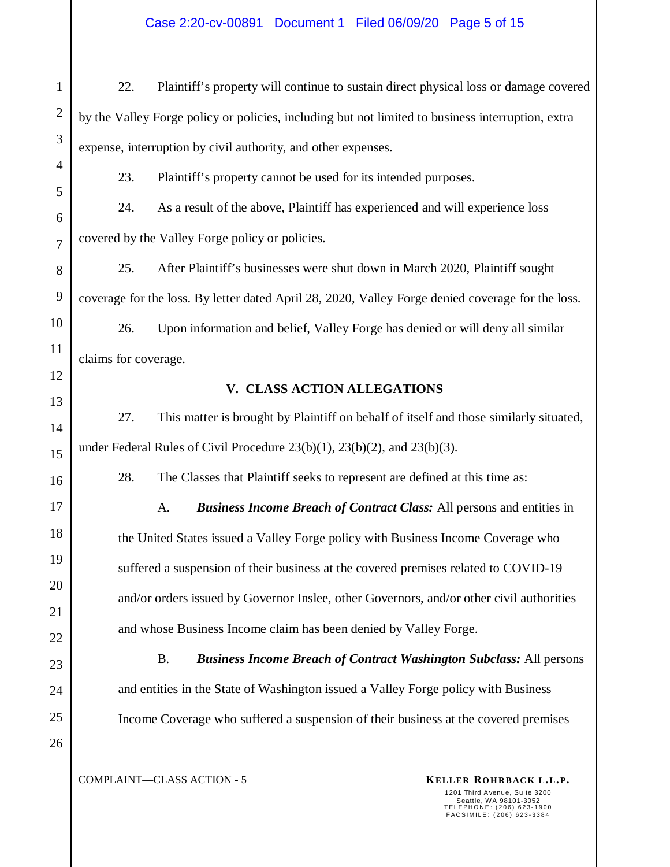#### Case 2:20-cv-00891 Document 1 Filed 06/09/20 Page 5 of 15

22. Plaintiff's property will continue to sustain direct physical loss or damage covered by the Valley Forge policy or policies, including but not limited to business interruption, extra expense, interruption by civil authority, and other expenses.

23. Plaintiff's property cannot be used for its intended purposes.

24. As a result of the above, Plaintiff has experienced and will experience loss covered by the Valley Forge policy or policies.

25. After Plaintiff's businesses were shut down in March 2020, Plaintiff sought coverage for the loss. By letter dated April 28, 2020, Valley Forge denied coverage for the loss.

26. Upon information and belief, Valley Forge has denied or will deny all similar claims for coverage.

#### **V. CLASS ACTION ALLEGATIONS**

27. This matter is brought by Plaintiff on behalf of itself and those similarly situated, under Federal Rules of Civil Procedure 23(b)(1), 23(b)(2), and 23(b)(3).

28. The Classes that Plaintiff seeks to represent are defined at this time as:

A. *Business Income Breach of Contract Class:* All persons and entities in the United States issued a Valley Forge policy with Business Income Coverage who suffered a suspension of their business at the covered premises related to COVID-19 and/or orders issued by Governor Inslee, other Governors, and/or other civil authorities and whose Business Income claim has been denied by Valley Forge.

B. *Business Income Breach of Contract Washington Subclass:* All persons and entities in the State of Washington issued a Valley Forge policy with Business Income Coverage who suffered a suspension of their business at the covered premises

**COMPLAINT—CLASS ACTION - 5 KELLER ROHRBACK L.L.P.** 

1

2

3

4

5

6

7

8

9

10

11

12

13

14

15

16

17

18

19

20

21

22

23

24

25

26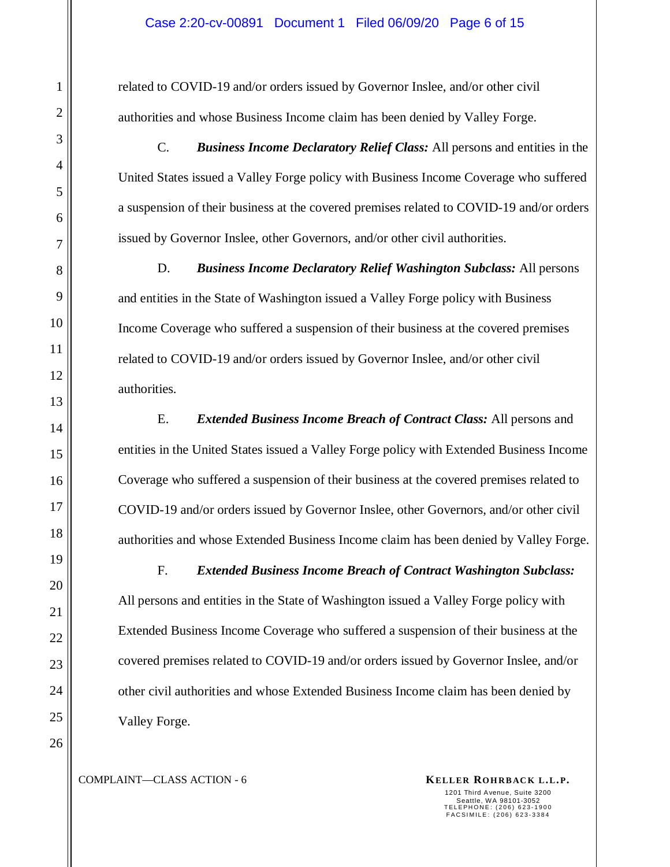related to COVID-19 and/or orders issued by Governor Inslee, and/or other civil authorities and whose Business Income claim has been denied by Valley Forge.

C. *Business Income Declaratory Relief Class:* All persons and entities in the United States issued a Valley Forge policy with Business Income Coverage who suffered a suspension of their business at the covered premises related to COVID-19 and/or orders issued by Governor Inslee, other Governors, and/or other civil authorities.

D. *Business Income Declaratory Relief Washington Subclass:* All persons and entities in the State of Washington issued a Valley Forge policy with Business Income Coverage who suffered a suspension of their business at the covered premises related to COVID-19 and/or orders issued by Governor Inslee, and/or other civil authorities.

E. *Extended Business Income Breach of Contract Class:* All persons and entities in the United States issued a Valley Forge policy with Extended Business Income Coverage who suffered a suspension of their business at the covered premises related to COVID-19 and/or orders issued by Governor Inslee, other Governors, and/or other civil authorities and whose Extended Business Income claim has been denied by Valley Forge.

F. *Extended Business Income Breach of Contract Washington Subclass:* All persons and entities in the State of Washington issued a Valley Forge policy with Extended Business Income Coverage who suffered a suspension of their business at the covered premises related to COVID-19 and/or orders issued by Governor Inslee, and/or other civil authorities and whose Extended Business Income claim has been denied by Valley Forge.

1

2

3

4

5

6

7

8

9

10

11

12

13

14

15

16

17

18

19

20

21

22

23

24

25

26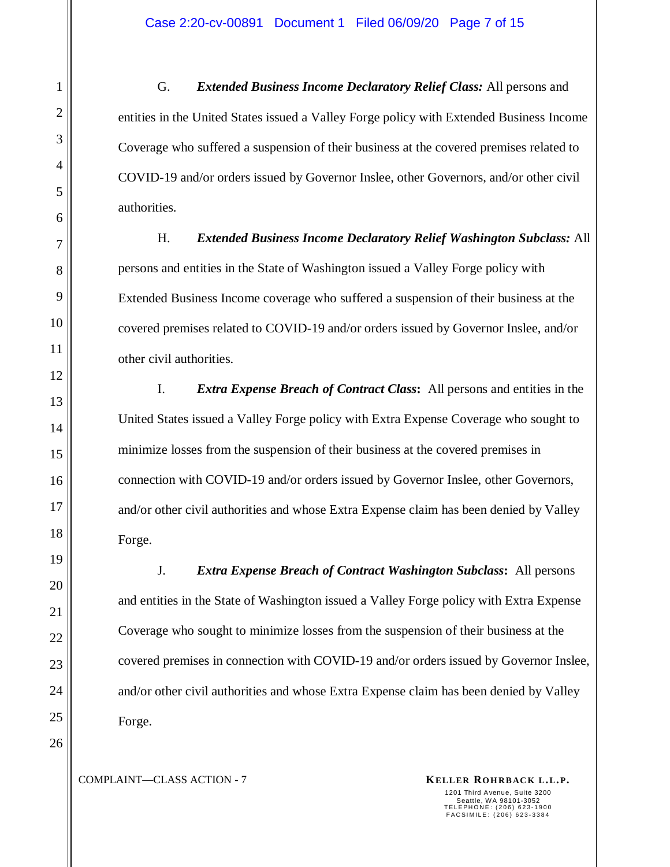G. *Extended Business Income Declaratory Relief Class:* All persons and entities in the United States issued a Valley Forge policy with Extended Business Income Coverage who suffered a suspension of their business at the covered premises related to COVID-19 and/or orders issued by Governor Inslee, other Governors, and/or other civil authorities.

H. *Extended Business Income Declaratory Relief Washington Subclass:* All persons and entities in the State of Washington issued a Valley Forge policy with Extended Business Income coverage who suffered a suspension of their business at the covered premises related to COVID-19 and/or orders issued by Governor Inslee, and/or other civil authorities.

I. *Extra Expense Breach of Contract Class***:** All persons and entities in the United States issued a Valley Forge policy with Extra Expense Coverage who sought to minimize losses from the suspension of their business at the covered premises in connection with COVID-19 and/or orders issued by Governor Inslee, other Governors, and/or other civil authorities and whose Extra Expense claim has been denied by Valley Forge.

J. *Extra Expense Breach of Contract Washington Subclass***:** All persons and entities in the State of Washington issued a Valley Forge policy with Extra Expense Coverage who sought to minimize losses from the suspension of their business at the covered premises in connection with COVID-19 and/or orders issued by Governor Inslee, and/or other civil authorities and whose Extra Expense claim has been denied by Valley Forge.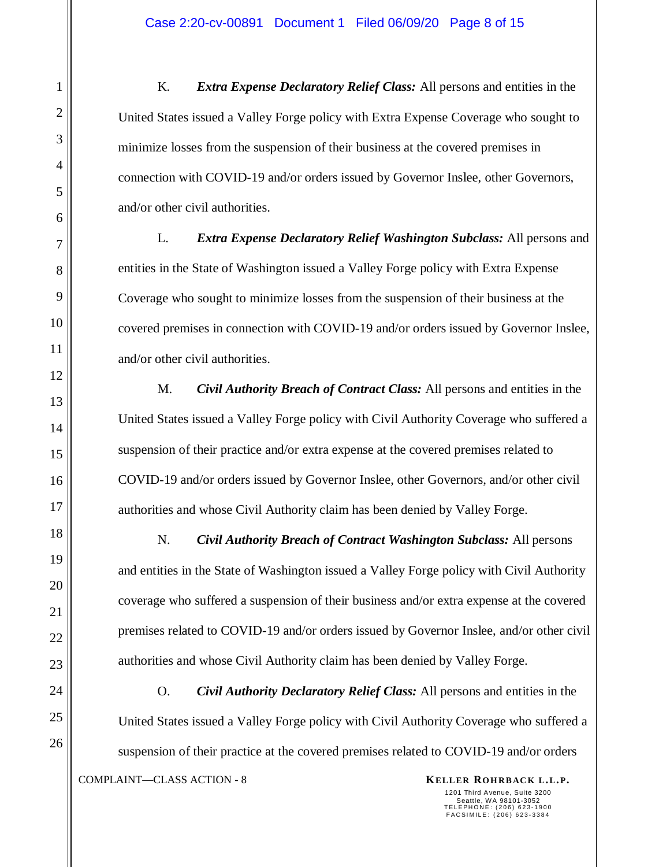K. *Extra Expense Declaratory Relief Class:* All persons and entities in the United States issued a Valley Forge policy with Extra Expense Coverage who sought to minimize losses from the suspension of their business at the covered premises in connection with COVID-19 and/or orders issued by Governor Inslee, other Governors, and/or other civil authorities.

L. *Extra Expense Declaratory Relief Washington Subclass:* All persons and entities in the State of Washington issued a Valley Forge policy with Extra Expense Coverage who sought to minimize losses from the suspension of their business at the covered premises in connection with COVID-19 and/or orders issued by Governor Inslee, and/or other civil authorities.

M. *Civil Authority Breach of Contract Class:* All persons and entities in the United States issued a Valley Forge policy with Civil Authority Coverage who suffered a suspension of their practice and/or extra expense at the covered premises related to COVID-19 and/or orders issued by Governor Inslee, other Governors, and/or other civil authorities and whose Civil Authority claim has been denied by Valley Forge.

N. *Civil Authority Breach of Contract Washington Subclass:* All persons and entities in the State of Washington issued a Valley Forge policy with Civil Authority coverage who suffered a suspension of their business and/or extra expense at the covered premises related to COVID-19 and/or orders issued by Governor Inslee, and/or other civil authorities and whose Civil Authority claim has been denied by Valley Forge.

**COMPLAINT—CLASS ACTION - 8 KELLER ROHRBACK L.L.P.** O. *Civil Authority Declaratory Relief Class:* All persons and entities in the United States issued a Valley Forge policy with Civil Authority Coverage who suffered a suspension of their practice at the covered premises related to COVID-19 and/or orders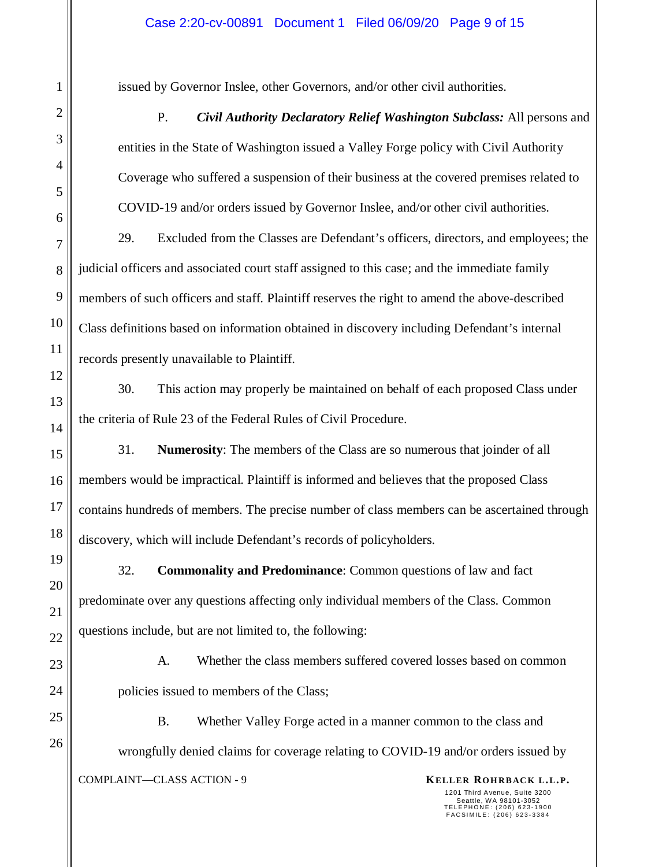issued by Governor Inslee, other Governors, and/or other civil authorities.

P. *Civil Authority Declaratory Relief Washington Subclass:* All persons and entities in the State of Washington issued a Valley Forge policy with Civil Authority Coverage who suffered a suspension of their business at the covered premises related to COVID-19 and/or orders issued by Governor Inslee, and/or other civil authorities.

29. Excluded from the Classes are Defendant's officers, directors, and employees; the judicial officers and associated court staff assigned to this case; and the immediate family members of such officers and staff. Plaintiff reserves the right to amend the above-described Class definitions based on information obtained in discovery including Defendant's internal records presently unavailable to Plaintiff.

30. This action may properly be maintained on behalf of each proposed Class under the criteria of Rule 23 of the Federal Rules of Civil Procedure.

31. **Numerosity**: The members of the Class are so numerous that joinder of all members would be impractical. Plaintiff is informed and believes that the proposed Class contains hundreds of members. The precise number of class members can be ascertained through discovery, which will include Defendant's records of policyholders.

32. **Commonality and Predominance**: Common questions of law and fact predominate over any questions affecting only individual members of the Class. Common questions include, but are not limited to, the following:

A. Whether the class members suffered covered losses based on common policies issued to members of the Class;

B. Whether Valley Forge acted in a manner common to the class and wrongfully denied claims for coverage relating to COVID-19 and/or orders issued by

**COMPLAINT—CLASS ACTION - 9 KELLER ROHRBACK L.L.P.**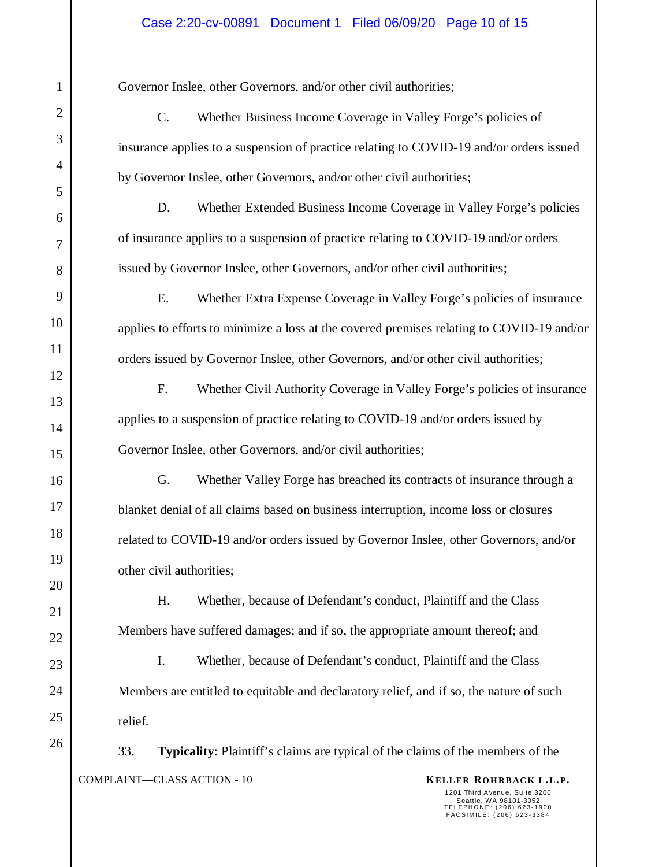#### Case 2:20-cv-00891 Document 1 Filed 06/09/20 Page 10 of 15

Governor Inslee, other Governors, and/or other civil authorities;

C. Whether Business Income Coverage in Valley Forge's policies of insurance applies to a suspension of practice relating to COVID-19 and/or orders issued by Governor Inslee, other Governors, and/or other civil authorities;

D. Whether Extended Business Income Coverage in Valley Forge's policies of insurance applies to a suspension of practice relating to COVID-19 and/or orders issued by Governor Inslee, other Governors, and/or other civil authorities;

E. Whether Extra Expense Coverage in Valley Forge's policies of insurance applies to efforts to minimize a loss at the covered premises relating to COVID-19 and/or orders issued by Governor Inslee, other Governors, and/or other civil authorities;

F. Whether Civil Authority Coverage in Valley Forge's policies of insurance applies to a suspension of practice relating to COVID-19 and/or orders issued by Governor Inslee, other Governors, and/or civil authorities;

G. Whether Valley Forge has breached its contracts of insurance through a blanket denial of all claims based on business interruption, income loss or closures related to COVID-19 and/or orders issued by Governor Inslee, other Governors, and/or other civil authorities;

H. Whether, because of Defendant's conduct, Plaintiff and the Class Members have suffered damages; and if so, the appropriate amount thereof; and

I. Whether, because of Defendant's conduct, Plaintiff and the Class Members are entitled to equitable and declaratory relief, and if so, the nature of such relief.

**COMPLAINT—CLASS ACTION - 10 KELLER ROHRBACK L.L.P.** 33. **Typicality**: Plaintiff's claims are typical of the claims of the members of the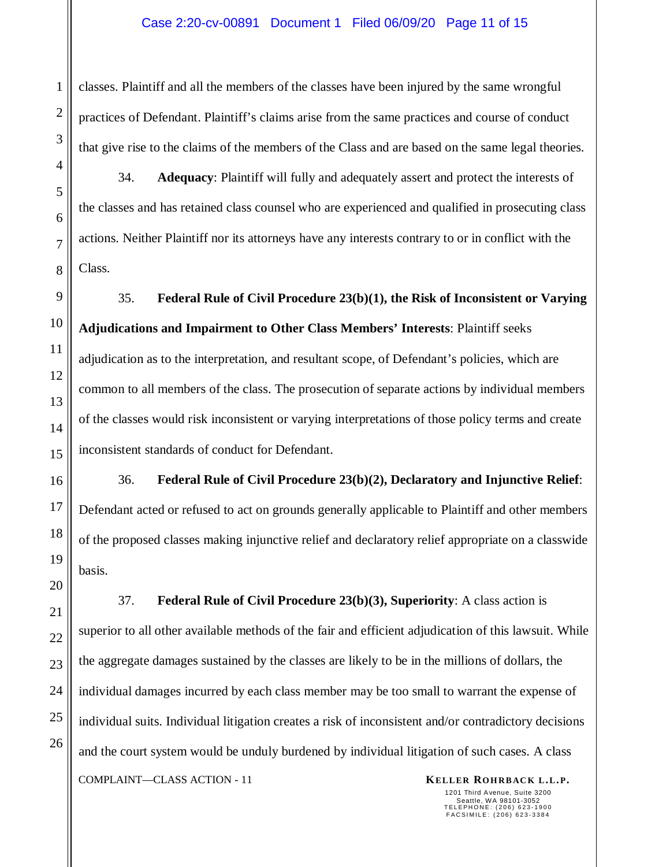classes. Plaintiff and all the members of the classes have been injured by the same wrongful practices of Defendant. Plaintiff's claims arise from the same practices and course of conduct that give rise to the claims of the members of the Class and are based on the same legal theories.

34. **Adequacy**: Plaintiff will fully and adequately assert and protect the interests of the classes and has retained class counsel who are experienced and qualified in prosecuting class actions. Neither Plaintiff nor its attorneys have any interests contrary to or in conflict with the Class.

35. **Federal Rule of Civil Procedure 23(b)(1), the Risk of Inconsistent or Varying Adjudications and Impairment to Other Class Members' Interests**: Plaintiff seeks adjudication as to the interpretation, and resultant scope, of Defendant's policies, which are common to all members of the class. The prosecution of separate actions by individual members of the classes would risk inconsistent or varying interpretations of those policy terms and create inconsistent standards of conduct for Defendant.

36. **Federal Rule of Civil Procedure 23(b)(2), Declaratory and Injunctive Relief**: Defendant acted or refused to act on grounds generally applicable to Plaintiff and other members of the proposed classes making injunctive relief and declaratory relief appropriate on a classwide basis.

**COMPLAINT—CLASS ACTION - 11 KELLER ROHRBACK L.L.P.** 37. **Federal Rule of Civil Procedure 23(b)(3), Superiority**: A class action is superior to all other available methods of the fair and efficient adjudication of this lawsuit. While the aggregate damages sustained by the classes are likely to be in the millions of dollars, the individual damages incurred by each class member may be too small to warrant the expense of individual suits. Individual litigation creates a risk of inconsistent and/or contradictory decisions and the court system would be unduly burdened by individual litigation of such cases. A class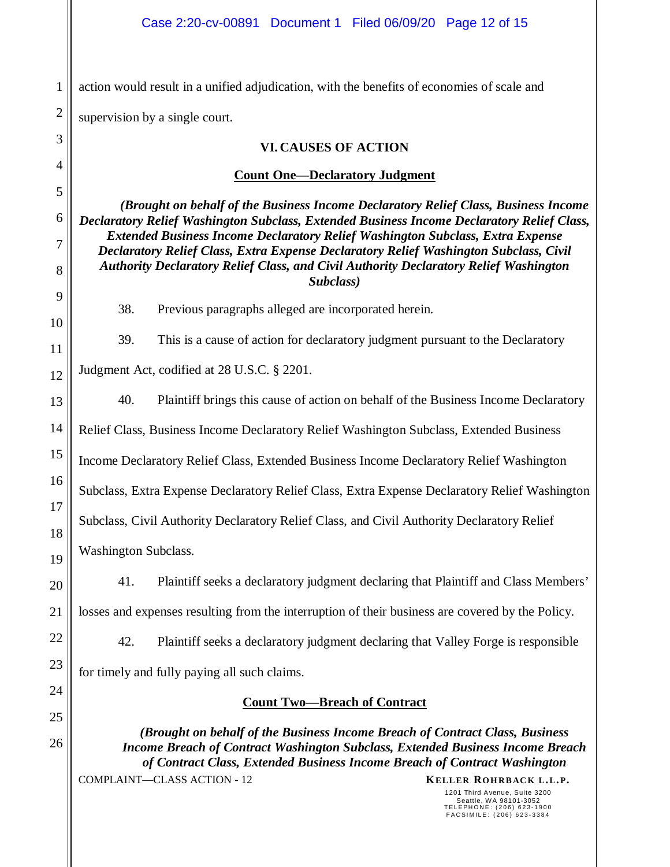1 2 action would result in a unified adjudication, with the benefits of economies of scale and supervision by a single court.

#### **VI. CAUSES OF ACTION**

#### **Count One—Declaratory Judgment**

*(Brought on behalf of the Business Income Declaratory Relief Class, Business Income Declaratory Relief Washington Subclass, Extended Business Income Declaratory Relief Class, Extended Business Income Declaratory Relief Washington Subclass, Extra Expense Declaratory Relief Class, Extra Expense Declaratory Relief Washington Subclass, Civil Authority Declaratory Relief Class, and Civil Authority Declaratory Relief Washington Subclass)* 

38. Previous paragraphs alleged are incorporated herein.

39. This is a cause of action for declaratory judgment pursuant to the Declaratory

Judgment Act, codified at 28 U.S.C. § 2201.

3

4

5

6

7

8

9

10

11

12

13

14

15

16

17

18

19

20

21

22

23

24

25

26

40. Plaintiff brings this cause of action on behalf of the Business Income Declaratory Relief Class, Business Income Declaratory Relief Washington Subclass, Extended Business Income Declaratory Relief Class, Extended Business Income Declaratory Relief Washington Subclass, Extra Expense Declaratory Relief Class, Extra Expense Declaratory Relief Washington Subclass, Civil Authority Declaratory Relief Class, and Civil Authority Declaratory Relief Washington Subclass.

41. Plaintiff seeks a declaratory judgment declaring that Plaintiff and Class Members' losses and expenses resulting from the interruption of their business are covered by the Policy.

42. Plaintiff seeks a declaratory judgment declaring that Valley Forge is responsible for timely and fully paying all such claims.

## **Count Two—Breach of Contract**

*(Brought on behalf of the Business Income Breach of Contract Class, Business Income Breach of Contract Washington Subclass, Extended Business Income Breach of Contract Class, Extended Business Income Breach of Contract Washington* 

**COMPLAINT—CLASS ACTION - 12 KELLER ROHRBACK L.L.P.**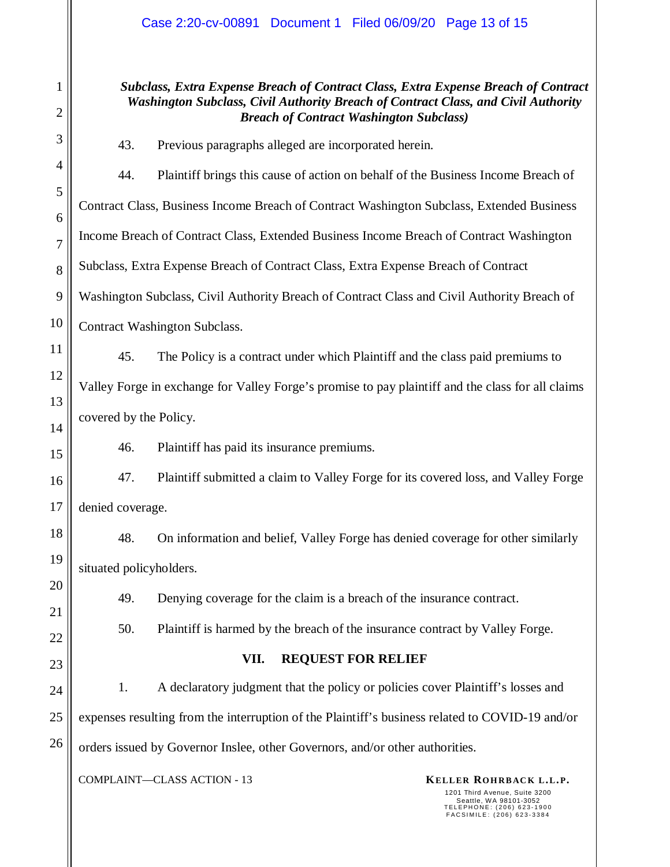#### *Subclass, Extra Expense Breach of Contract Class, Extra Expense Breach of Contract Washington Subclass, Civil Authority Breach of Contract Class, and Civil Authority Breach of Contract Washington Subclass)*

43. Previous paragraphs alleged are incorporated herein.

44. Plaintiff brings this cause of action on behalf of the Business Income Breach of Contract Class, Business Income Breach of Contract Washington Subclass, Extended Business Income Breach of Contract Class, Extended Business Income Breach of Contract Washington Subclass, Extra Expense Breach of Contract Class, Extra Expense Breach of Contract Washington Subclass, Civil Authority Breach of Contract Class and Civil Authority Breach of Contract Washington Subclass.

45. The Policy is a contract under which Plaintiff and the class paid premiums to Valley Forge in exchange for Valley Forge's promise to pay plaintiff and the class for all claims covered by the Policy.

46. Plaintiff has paid its insurance premiums.

47. Plaintiff submitted a claim to Valley Forge for its covered loss, and Valley Forge denied coverage.

48. On information and belief, Valley Forge has denied coverage for other similarly situated policyholders.

49. Denying coverage for the claim is a breach of the insurance contract.

50. Plaintiff is harmed by the breach of the insurance contract by Valley Forge.

## **VII. REQUEST FOR RELIEF**

1. A declaratory judgment that the policy or policies cover Plaintiff's losses and expenses resulting from the interruption of the Plaintiff's business related to COVID-19 and/or orders issued by Governor Inslee, other Governors, and/or other authorities.

**COMPLAINT—CLASS ACTION - 13 KELLER ROHRBACK L.L.P.** 

1201 Third Avenue, Suite 3200 Seattle, WA 98101-3052<br>TELEPHONE: (206) 623-1900<br>FACSIMILE: (206) 623-3384

1

2

3

4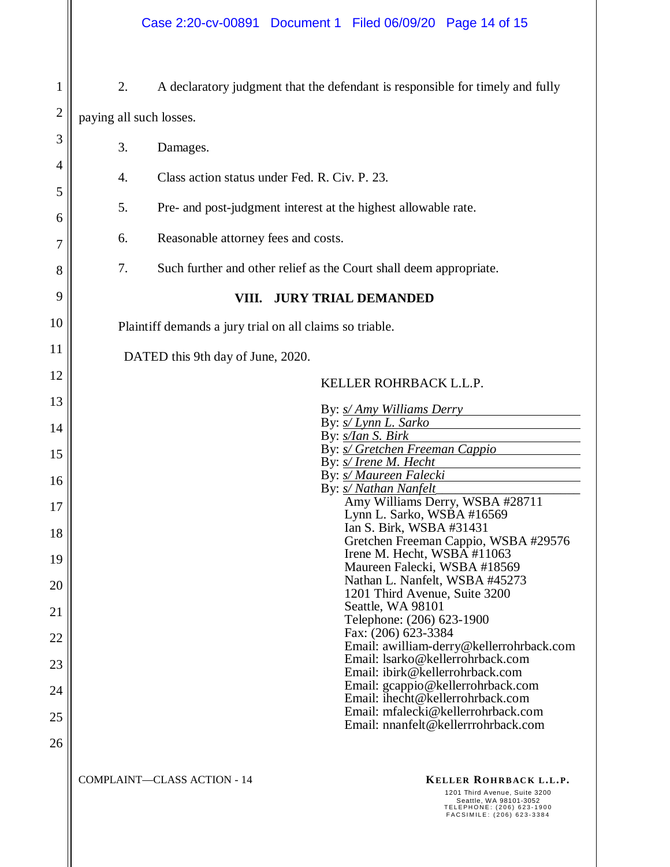2. A declaratory judgment that the defendant is responsible for timely and fully paying all such losses.

1

**COMPLAINT—CLASS ACTION - 14 KELLER ROHRBACK L.L.P.** 1201 Third Avenue, Suite 3200 Seattle, WA 98101-3052<br>TELEPHONE: (206) 623-1900<br>FACSIMILE: (206) 623-3384 2 3 4 5 6 7 8 9 10 11 12 13 14 15 16 17 18 19 20 21 22 23 24 25 26 3. Damages. 4. Class action status under Fed. R. Civ. P. 23. 5. Pre- and post-judgment interest at the highest allowable rate. 6. Reasonable attorney fees and costs. 7. Such further and other relief as the Court shall deem appropriate. **VIII. JURY TRIAL DEMANDED**  Plaintiff demands a jury trial on all claims so triable. DATED this 9th day of June, 2020. **StdandardSig** KELLER ROHRBACK L.L.P. By: *s/ Amy Williams Derry*  By: *s/ Lynn L. Sarko* By: *s/Ian S. Birk*  By: *s/ Gretchen Freeman Cappio* By: *s/ Irene M. Hecht* By: *s/ Maureen Falecki* By: *s/ Nathan Nanfelt* Amy Williams Derry, WSBA #28711 Lynn L. Sarko, WSBA #16569 Ian S. Birk, WSBA #31431 Gretchen Freeman Cappio, WSBA #29576 Irene M. Hecht, WSBA #11063 Maureen Falecki, WSBA #18569 Nathan L. Nanfelt, WSBA #45273 1201 Third Avenue, Suite 3200 Seattle, WA 98101 Telephone: (206) 623-1900 Fax: (206) 623-3384 Email: awilliam-derry@kellerrohrback.com Email: lsarko@kellerrohrback.com Email: ibirk@kellerrohrback.com Email: gcappio@kellerrohrback.com Email: ihecht@kellerrohrback.com Email: mfalecki@kellerrohrback.com Email: nnanfelt@kellerrrohrback.com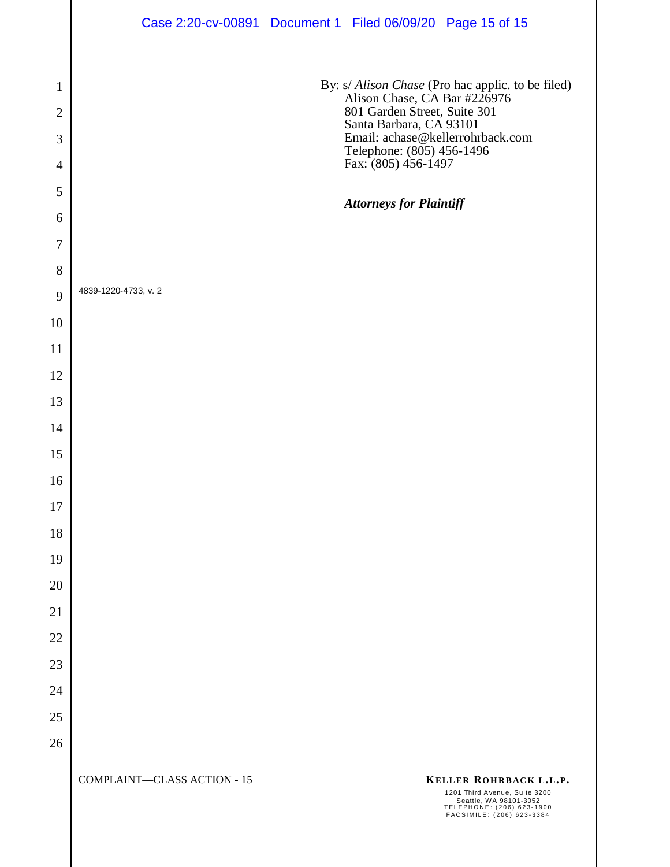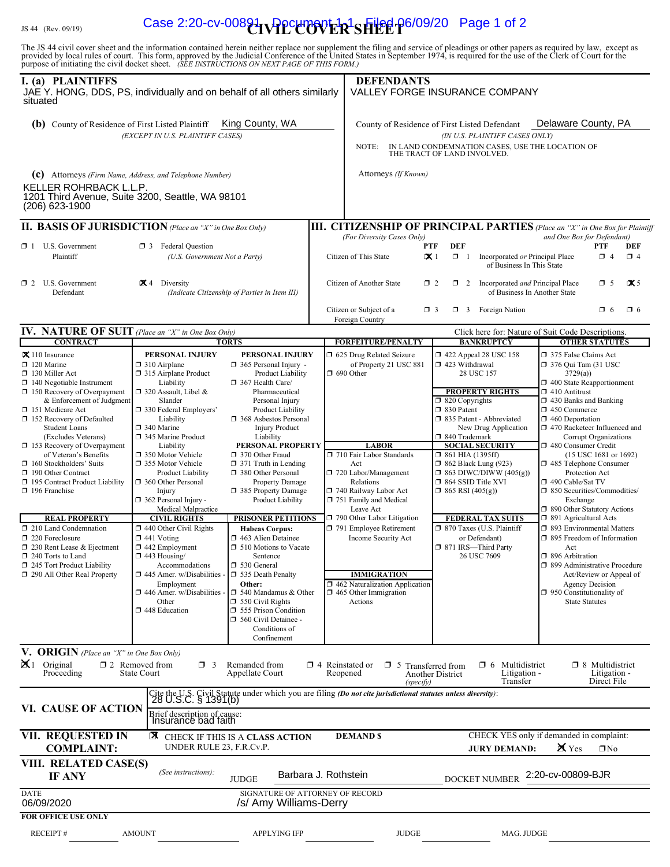# $\mathcal{H}_{\rm{H}}$   $\mathcal{H}_{\rm{H}}$  (Rev. 09/19) case 2:20-cv-00821  $\mathbf{VPCC}$   $\mathbf{VPC}$   $\mathbf{FP}$   $\mathbf{FP}$   $\mathbf{FP}$   $\mathbf{FP}$   $\mathbf{FP}$   $\mathbf{FP}$   $\mathbf{FP}$   $\mathbf{FP}$   $\mathbf{FP}$   $\mathbf{FP}$   $\mathbf{FP}$   $\mathbf{FP}$   $\mathbf{FP}$   $\mathbf{FP}$   $\mathbf{FP}$   $\mathbf{FP$

The JS 44 civil cover sheet and the information contained herein neither replace nor supplement the filing and service of pleadings or other papers as required by law, except as provided by local rules of court. This form,

| I. (a) PLAINTIFFS<br>situated                                                                                                                                                                                                                                                                                                                                                                                                                                                                                                                                                                                                                                           | JAE Y. HONG, DDS, PS, individually and on behalf of all others similarly                                                                                                                                                                                                                                                                                                                                                                                                                                                                                                                                                                                                                                                                                                                                                                                                                                                                                                                                                                                                                                                                                                                                                                                                                                                                                                   | <b>DEFENDANTS</b>                                                                                                                                                                                                                                                                                                                                                                                                    | VALLEY FORGE INSURANCE COMPANY                                                                                                                                                                                                                                                                                                                                                                                                                                                                     |                                                                                                                                                                                                                                                                                                                                                                                                                                                                                                                                                                                                                                                                                                                                     |  |  |
|-------------------------------------------------------------------------------------------------------------------------------------------------------------------------------------------------------------------------------------------------------------------------------------------------------------------------------------------------------------------------------------------------------------------------------------------------------------------------------------------------------------------------------------------------------------------------------------------------------------------------------------------------------------------------|----------------------------------------------------------------------------------------------------------------------------------------------------------------------------------------------------------------------------------------------------------------------------------------------------------------------------------------------------------------------------------------------------------------------------------------------------------------------------------------------------------------------------------------------------------------------------------------------------------------------------------------------------------------------------------------------------------------------------------------------------------------------------------------------------------------------------------------------------------------------------------------------------------------------------------------------------------------------------------------------------------------------------------------------------------------------------------------------------------------------------------------------------------------------------------------------------------------------------------------------------------------------------------------------------------------------------------------------------------------------------|----------------------------------------------------------------------------------------------------------------------------------------------------------------------------------------------------------------------------------------------------------------------------------------------------------------------------------------------------------------------------------------------------------------------|----------------------------------------------------------------------------------------------------------------------------------------------------------------------------------------------------------------------------------------------------------------------------------------------------------------------------------------------------------------------------------------------------------------------------------------------------------------------------------------------------|-------------------------------------------------------------------------------------------------------------------------------------------------------------------------------------------------------------------------------------------------------------------------------------------------------------------------------------------------------------------------------------------------------------------------------------------------------------------------------------------------------------------------------------------------------------------------------------------------------------------------------------------------------------------------------------------------------------------------------------|--|--|
| (b) County of Residence of First Listed Plaintiff                                                                                                                                                                                                                                                                                                                                                                                                                                                                                                                                                                                                                       | King County, WA<br>(EXCEPT IN U.S. PLAINTIFF CASES)                                                                                                                                                                                                                                                                                                                                                                                                                                                                                                                                                                                                                                                                                                                                                                                                                                                                                                                                                                                                                                                                                                                                                                                                                                                                                                                        | NOTE:                                                                                                                                                                                                                                                                                                                                                                                                                | Delaware County, PA<br>County of Residence of First Listed Defendant<br>(IN U.S. PLAINTIFF CASES ONLY)<br>IN LAND CONDEMNATION CASES, USE THE LOCATION OF<br>THE TRACT OF LAND INVOLVED.                                                                                                                                                                                                                                                                                                           |                                                                                                                                                                                                                                                                                                                                                                                                                                                                                                                                                                                                                                                                                                                                     |  |  |
| <b>KELLER ROHRBACK L.L.P.</b><br>(206) 623-1900                                                                                                                                                                                                                                                                                                                                                                                                                                                                                                                                                                                                                         | (C) Attorneys (Firm Name, Address, and Telephone Number)<br>1201 Third Avenue, Suite 3200, Seattle, WA 98101                                                                                                                                                                                                                                                                                                                                                                                                                                                                                                                                                                                                                                                                                                                                                                                                                                                                                                                                                                                                                                                                                                                                                                                                                                                               | Attorneys (If Known)                                                                                                                                                                                                                                                                                                                                                                                                 |                                                                                                                                                                                                                                                                                                                                                                                                                                                                                                    |                                                                                                                                                                                                                                                                                                                                                                                                                                                                                                                                                                                                                                                                                                                                     |  |  |
|                                                                                                                                                                                                                                                                                                                                                                                                                                                                                                                                                                                                                                                                         | <b>II. BASIS OF JURISDICTION</b> (Place an "X" in One Box Only)                                                                                                                                                                                                                                                                                                                                                                                                                                                                                                                                                                                                                                                                                                                                                                                                                                                                                                                                                                                                                                                                                                                                                                                                                                                                                                            | <b>III. CITIZENSHIP OF PRINCIPAL PARTIES</b> (Place an "X" in One Box for Plaintiff                                                                                                                                                                                                                                                                                                                                  |                                                                                                                                                                                                                                                                                                                                                                                                                                                                                                    |                                                                                                                                                                                                                                                                                                                                                                                                                                                                                                                                                                                                                                                                                                                                     |  |  |
| $\Box$ 1 U.S. Government<br>Plaintiff                                                                                                                                                                                                                                                                                                                                                                                                                                                                                                                                                                                                                                   | $\Box$ 3 Federal Ouestion<br>(U.S. Government Not a Party)                                                                                                                                                                                                                                                                                                                                                                                                                                                                                                                                                                                                                                                                                                                                                                                                                                                                                                                                                                                                                                                                                                                                                                                                                                                                                                                 | (For Diversity Cases Only)<br>Citizen of This State                                                                                                                                                                                                                                                                                                                                                                  | <b>DEF</b><br><b>PTF</b><br>$\mathbf{X}$ 1<br>$\Box$ 1<br>Incorporated or Principal Place<br>of Business In This State                                                                                                                                                                                                                                                                                                                                                                             | and One Box for Defendant)<br><b>PTF</b><br>DEF<br>$\Box$ 4<br>$\Box$ 4                                                                                                                                                                                                                                                                                                                                                                                                                                                                                                                                                                                                                                                             |  |  |
| $\Box$ 2 U.S. Government<br>Defendant                                                                                                                                                                                                                                                                                                                                                                                                                                                                                                                                                                                                                                   | $\mathbf{X}$ 4 Diversity<br>(Indicate Citizenship of Parties in Item III)                                                                                                                                                                                                                                                                                                                                                                                                                                                                                                                                                                                                                                                                                                                                                                                                                                                                                                                                                                                                                                                                                                                                                                                                                                                                                                  | Citizen of Another State                                                                                                                                                                                                                                                                                                                                                                                             | $\Box$ 2 Incorporated <i>and</i> Principal Place<br>$\Box$ 2<br>of Business In Another State                                                                                                                                                                                                                                                                                                                                                                                                       | $\Box$ 5<br>$\mathbf{X}$ 5                                                                                                                                                                                                                                                                                                                                                                                                                                                                                                                                                                                                                                                                                                          |  |  |
|                                                                                                                                                                                                                                                                                                                                                                                                                                                                                                                                                                                                                                                                         |                                                                                                                                                                                                                                                                                                                                                                                                                                                                                                                                                                                                                                                                                                                                                                                                                                                                                                                                                                                                                                                                                                                                                                                                                                                                                                                                                                            | Citizen or Subject of a<br>Foreign Country                                                                                                                                                                                                                                                                                                                                                                           | $\Box$ 3 Foreign Nation<br>$\Box$ 3                                                                                                                                                                                                                                                                                                                                                                                                                                                                | $\Box$ 6<br>$\Box$ 6                                                                                                                                                                                                                                                                                                                                                                                                                                                                                                                                                                                                                                                                                                                |  |  |
| <b>IV. NATURE OF SUIT</b> (Place an "X" in One Box Only)<br><b>CONTRACT</b>                                                                                                                                                                                                                                                                                                                                                                                                                                                                                                                                                                                             | <b>TORTS</b>                                                                                                                                                                                                                                                                                                                                                                                                                                                                                                                                                                                                                                                                                                                                                                                                                                                                                                                                                                                                                                                                                                                                                                                                                                                                                                                                                               | <b>FORFEITURE/PENALTY</b>                                                                                                                                                                                                                                                                                                                                                                                            | <b>BANKRUPTCY</b>                                                                                                                                                                                                                                                                                                                                                                                                                                                                                  | Click here for: Nature of Suit Code Descriptions.<br><b>OTHER STATUTES</b>                                                                                                                                                                                                                                                                                                                                                                                                                                                                                                                                                                                                                                                          |  |  |
| $\mathbf{\times}$ 110 Insurance<br>$\Box$ 120 Marine<br>$\Box$ 130 Miller Act<br>$\Box$ 140 Negotiable Instrument<br>$\Box$ 150 Recovery of Overpayment<br>& Enforcement of Judgment<br>151 Medicare Act<br>152 Recovery of Defaulted<br><b>Student Loans</b><br>(Excludes Veterans)<br>$\Box$ 153 Recovery of Overpayment<br>of Veteran's Benefits<br>$\Box$ 160 Stockholders' Suits<br>190 Other Contract<br>195 Contract Product Liability<br>$\Box$ 196 Franchise<br><b>REAL PROPERTY</b><br>210 Land Condemnation<br>220 Foreclosure<br>$\Box$ 230 Rent Lease & Ejectment<br>$\Box$ 240 Torts to Land<br>245 Tort Product Liability<br>290 All Other Real Property | PERSONAL INJURY<br>PERSONAL INJURY<br>$\Box$ 310 Airplane<br>$\Box$ 365 Personal Injury -<br>□ 315 Airplane Product<br>Product Liability<br>Liability<br>$\Box$ 367 Health Care/<br>$\Box$ 320 Assault, Libel &<br>Pharmaceutical<br>Slander<br>Personal Injury<br>□ 330 Federal Employers'<br>Product Liability<br>Liability<br>1368 Asbestos Personal<br>340 Marine<br><b>Injury Product</b><br>345 Marine Product<br>Liability<br>PERSONAL PROPERTY<br>Liability<br>□ 350 Motor Vehicle<br>370 Other Fraud<br>□ 355 Motor Vehicle<br>$\Box$ 371 Truth in Lending<br>380 Other Personal<br><b>Product Liability</b><br>360 Other Personal<br>Property Damage<br>385 Property Damage<br>Injury<br>$\Box$ 362 Personal Injury -<br>Product Liability<br>Medical Malpractice<br><b>CIVIL RIGHTS</b><br><b>PRISONER PETITIONS</b><br>$\Box$ 440 Other Civil Rights<br><b>Habeas Corpus:</b><br>$\Box$ 441 Voting<br>463 Alien Detainee<br>$\Box$ 442 Employment<br>$\Box$ 510 Motions to Vacate<br>$\Box$ 443 Housing/<br>Sentence<br>Accommodations<br>$\Box$ 530 General<br>$\Box$ 445 Amer. w/Disabilities<br>535 Death Penalty<br>Employment<br>Other:<br>$\Box$ 446 Amer. w/Disabilities<br>$\Box$ 540 Mandamus & Other<br>$\Box$ 550 Civil Rights<br>Other<br>1 448 Education<br><b>1 555 Prison Condition</b><br>560 Civil Detainee -<br>Conditions of<br>Confinement | □ 625 Drug Related Seizure<br>of Property 21 USC 881<br>$\Box$ 690 Other<br><b>LABOR</b><br>710 Fair Labor Standards<br>Act<br>720 Labor/Management<br>Relations<br>740 Railway Labor Act<br>751 Family and Medical<br>Leave Act<br>790 Other Labor Litigation<br>791 Employee Retirement<br>Income Security Act<br><b>IMMIGRATION</b><br>1462 Naturalization Application<br>$\Box$ 465 Other Immigration<br>Actions | $\Box$ 422 Appeal 28 USC 158<br>423 Withdrawal<br>28 USC 157<br><b>PROPERTY RIGHTS</b><br>$\Box$ 820 Copyrights<br>□ 830 Patent<br>335 Patent - Abbreviated<br>New Drug Application<br>□ 840 Trademark<br><b>SOCIAL SECURITY</b><br>$\Box$ 861 HIA (1395ff)<br>$\Box$ 862 Black Lung (923)<br>$\Box$ 863 DIWC/DIWW (405(g))<br>□ 864 SSID Title XVI<br>$\Box$ 865 RSI (405(g))<br><b>FEDERAL TAX SUITS</b><br>□ 870 Taxes (U.S. Plaintiff<br>or Defendant)<br>□ 871 IRS-Third Party<br>26 USC 7609 | 375 False Claims Act<br>376 Qui Tam (31 USC<br>3729(a)<br>$\Box$ 400 State Reapportionment<br>$\Box$ 410 Antitrust<br>$\Box$ 430 Banks and Banking<br>1 450 Commerce<br>$\Box$ 460 Deportation<br>□ 470 Racketeer Influenced and<br>Corrupt Organizations<br>480 Consumer Credit<br>(15 USC 1681 or 1692)<br>1485 Telephone Consumer<br>Protection Act<br>□ 490 Cable/Sat TV<br>□ 850 Securities/Commodities/<br>Exchange<br>□ 890 Other Statutory Actions<br>□ 891 Agricultural Acts<br>□ 893 Environmental Matters<br>□ 895 Freedom of Information<br>Act<br>□ 896 Arbitration<br>□ 899 Administrative Procedure<br>Act/Review or Appeal of<br><b>Agency Decision</b><br>$\Box$ 950 Constitutionality of<br><b>State Statutes</b> |  |  |
| V. ORIGIN (Place an "X" in One Box Only)<br>$\mathbf{X}$ 1 Original<br>$\Box$ 2 Removed from<br>$\Box$ 3<br>Remanded from<br>$\Box$ 4 Reinstated or<br>$\Box$ 8 Multidistrict<br>$\Box$ 5<br>Multidistrict<br>$\Box$ 6<br>Transferred from<br>Proceeding<br><b>State Court</b><br>Appellate Court<br>Reopened<br>Litigation -<br>Litigation -<br><b>Another District</b><br>Direct File<br>Transfer<br>(specify)<br>Cite the U.S. Civil Statute under which you are filing ( <i>Do not cite jurisdictional statutes unless diversity</i> ):<br>28 U.S.C. § 1391(b)                                                                                                      |                                                                                                                                                                                                                                                                                                                                                                                                                                                                                                                                                                                                                                                                                                                                                                                                                                                                                                                                                                                                                                                                                                                                                                                                                                                                                                                                                                            |                                                                                                                                                                                                                                                                                                                                                                                                                      |                                                                                                                                                                                                                                                                                                                                                                                                                                                                                                    |                                                                                                                                                                                                                                                                                                                                                                                                                                                                                                                                                                                                                                                                                                                                     |  |  |
| VI. CAUSE OF ACTION                                                                                                                                                                                                                                                                                                                                                                                                                                                                                                                                                                                                                                                     | Brief description of cause:<br>Insurance bad faith                                                                                                                                                                                                                                                                                                                                                                                                                                                                                                                                                                                                                                                                                                                                                                                                                                                                                                                                                                                                                                                                                                                                                                                                                                                                                                                         |                                                                                                                                                                                                                                                                                                                                                                                                                      |                                                                                                                                                                                                                                                                                                                                                                                                                                                                                                    |                                                                                                                                                                                                                                                                                                                                                                                                                                                                                                                                                                                                                                                                                                                                     |  |  |
| <b>VII. REQUESTED IN</b><br><b>COMPLAINT:</b>                                                                                                                                                                                                                                                                                                                                                                                                                                                                                                                                                                                                                           | <b>EX</b> CHECK IF THIS IS A CLASS ACTION<br>UNDER RULE 23, F.R.Cv.P.                                                                                                                                                                                                                                                                                                                                                                                                                                                                                                                                                                                                                                                                                                                                                                                                                                                                                                                                                                                                                                                                                                                                                                                                                                                                                                      | <b>DEMAND \$</b>                                                                                                                                                                                                                                                                                                                                                                                                     | <b>JURY DEMAND:</b>                                                                                                                                                                                                                                                                                                                                                                                                                                                                                | CHECK YES only if demanded in complaint:<br>$\mathbf{X}$ Yes<br>$\Box$ No                                                                                                                                                                                                                                                                                                                                                                                                                                                                                                                                                                                                                                                           |  |  |
| VIII. RELATED CASE(S)<br>(See instructions):<br>Barbara J. Rothstein<br>2:20-cv-00809-BJR<br>IF ANY<br>DOCKET NUMBER<br><b>JUDGE</b>                                                                                                                                                                                                                                                                                                                                                                                                                                                                                                                                    |                                                                                                                                                                                                                                                                                                                                                                                                                                                                                                                                                                                                                                                                                                                                                                                                                                                                                                                                                                                                                                                                                                                                                                                                                                                                                                                                                                            |                                                                                                                                                                                                                                                                                                                                                                                                                      |                                                                                                                                                                                                                                                                                                                                                                                                                                                                                                    |                                                                                                                                                                                                                                                                                                                                                                                                                                                                                                                                                                                                                                                                                                                                     |  |  |
| <b>DATE</b><br>06/09/2020<br><b>FOR OFFICE USE ONLY</b>                                                                                                                                                                                                                                                                                                                                                                                                                                                                                                                                                                                                                 | /s/ Amy Williams-Derry                                                                                                                                                                                                                                                                                                                                                                                                                                                                                                                                                                                                                                                                                                                                                                                                                                                                                                                                                                                                                                                                                                                                                                                                                                                                                                                                                     | SIGNATURE OF ATTORNEY OF RECORD                                                                                                                                                                                                                                                                                                                                                                                      |                                                                                                                                                                                                                                                                                                                                                                                                                                                                                                    |                                                                                                                                                                                                                                                                                                                                                                                                                                                                                                                                                                                                                                                                                                                                     |  |  |
| <b>RECEIPT#</b>                                                                                                                                                                                                                                                                                                                                                                                                                                                                                                                                                                                                                                                         | <b>AMOUNT</b><br><b>APPLYING IFP</b>                                                                                                                                                                                                                                                                                                                                                                                                                                                                                                                                                                                                                                                                                                                                                                                                                                                                                                                                                                                                                                                                                                                                                                                                                                                                                                                                       | <b>JUDGE</b>                                                                                                                                                                                                                                                                                                                                                                                                         | MAG. JUDGE                                                                                                                                                                                                                                                                                                                                                                                                                                                                                         |                                                                                                                                                                                                                                                                                                                                                                                                                                                                                                                                                                                                                                                                                                                                     |  |  |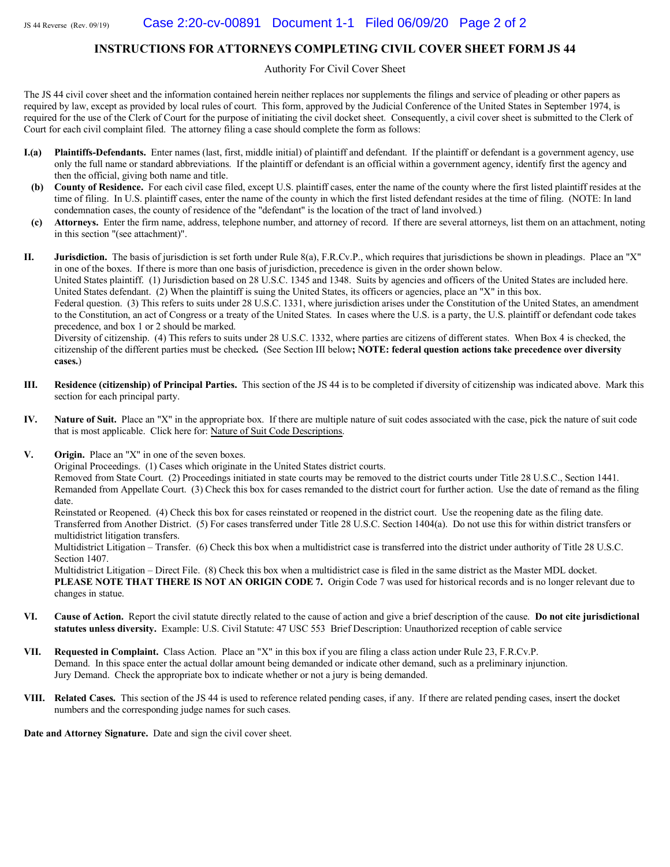#### INSTRUCTIONS FOR ATTORNEYS COMPLETING CIVIL COVER SHEET FORM JS 44

Authority For Civil Cover Sheet

The JS 44 civil cover sheet and the information contained herein neither replaces nor supplements the filings and service of pleading or other papers as required by law, except as provided by local rules of court. This form, approved by the Judicial Conference of the United States in September 1974, is required for the use of the Clerk of Court for the purpose of initiating the civil docket sheet. Consequently, a civil cover sheet is submitted to the Clerk of Court for each civil complaint filed. The attorney filing a case should complete the form as follows:

- **I.(a)** Plaintiffs-Defendants. Enter names (last, first, middle initial) of plaintiff and defendant. If the plaintiff or defendant is a government agency, use only the full name or standard abbreviations. If the plaintiff or defendant is an official within a government agency, identify first the agency and then the official, giving both name and title.
- (b) County of Residence. For each civil case filed, except U.S. plaintiff cases, enter the name of the county where the first listed plaintiff resides at the time of filing. In U.S. plaintiff cases, enter the name of the county in which the first listed defendant resides at the time of filing. (NOTE: In land condemnation cases, the county of residence of the "defendant" is the location of the tract of land involved.)
- (c) Attorneys. Enter the firm name, address, telephone number, and attorney of record. If there are several attorneys, list them on an attachment, noting in this section "(see attachment)".

**II.** Jurisdiction. The basis of jurisdiction is set forth under Rule 8(a), F.R.Cv.P., which requires that jurisdictions be shown in pleadings. Place an "X" in one of the boxes. If there is more than one basis of jurisdiction, precedence is given in the order shown below.

United States plaintiff. (1) Jurisdiction based on 28 U.S.C. 1345 and 1348. Suits by agencies and officers of the United States are included here. United States defendant. (2) When the plaintiff is suing the United States, its officers or agencies, place an "X" in this box.

Federal question. (3) This refers to suits under 28 U.S.C. 1331, where jurisdiction arises under the Constitution of the United States, an amendment to the Constitution, an act of Congress or a treaty of the United States. In cases where the U.S. is a party, the U.S. plaintiff or defendant code takes precedence, and box 1 or 2 should be marked.

Diversity of citizenship. (4) This refers to suits under 28 U.S.C. 1332, where parties are citizens of different states. When Box 4 is checked, the citizenship of the different parties must be checked. (See Section III below; NOTE: federal question actions take precedence over diversity cases.)

- III. Residence (citizenship) of Principal Parties. This section of the JS 44 is to be completed if diversity of citizenship was indicated above. Mark this section for each principal party.
- IV. Nature of Suit. Place an "X" in the appropriate box. If there are multiple nature of suit codes associated with the case, pick the nature of suit code that is most applicable. Click here for: Nature of Suit Code Descriptions.
- V. Origin. Place an "X" in one of the seven boxes.

Original Proceedings. (1) Cases which originate in the United States district courts.

Removed from State Court. (2) Proceedings initiated in state courts may be removed to the district courts under Title 28 U.S.C., Section 1441. Remanded from Appellate Court. (3) Check this box for cases remanded to the district court for further action. Use the date of remand as the filing date.

Reinstated or Reopened. (4) Check this box for cases reinstated or reopened in the district court. Use the reopening date as the filing date. Transferred from Another District. (5) For cases transferred under Title 28 U.S.C. Section 1404(a). Do not use this for within district transfers or multidistrict litigation transfers.

Multidistrict Litigation – Transfer. (6) Check this box when a multidistrict case is transferred into the district under authority of Title 28 U.S.C. Section  $1407$ .

Multidistrict Litigation – Direct File. (8) Check this box when a multidistrict case is filed in the same district as the Master MDL docket. PLEASE NOTE THAT THERE IS NOT AN ORIGIN CODE 7. Origin Code 7 was used for historical records and is no longer relevant due to changes in statue.

- VI. Cause of Action. Report the civil statute directly related to the cause of action and give a brief description of the cause. Do not cite jurisdictional statutes unless diversity. Example: U.S. Civil Statute: 47 USC 553 Brief Description: Unauthorized reception of cable service
- VII. Requested in Complaint. Class Action. Place an "X" in this box if you are filing a class action under Rule 23, F.R.Cv.P. Demand. In this space enter the actual dollar amount being demanded or indicate other demand, such as a preliminary injunction. Jury Demand. Check the appropriate box to indicate whether or not a jury is being demanded.
- VIII. Related Cases. This section of the JS 44 is used to reference related pending cases, if any. If there are related pending cases, insert the docket numbers and the corresponding judge names for such cases.

Date and Attorney Signature. Date and sign the civil cover sheet.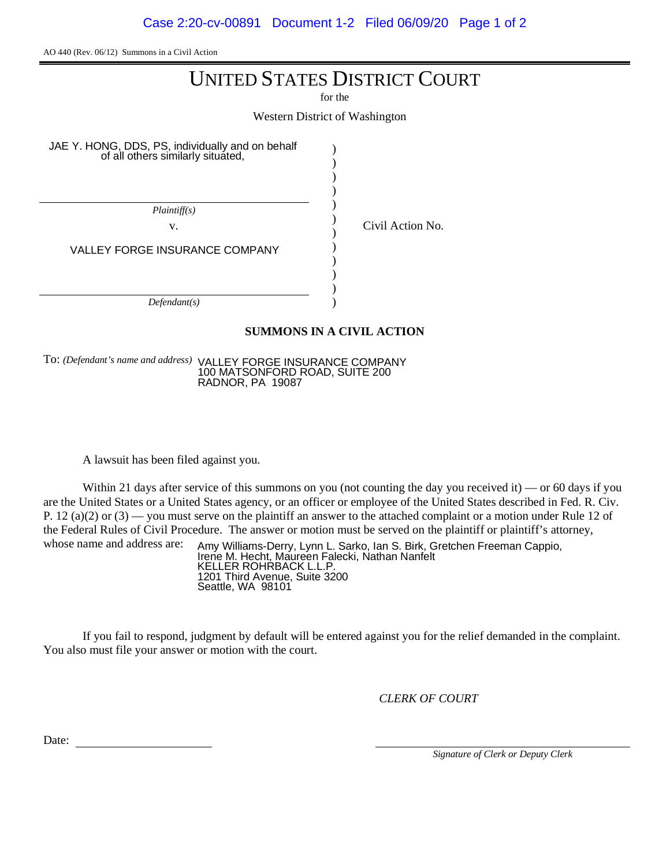AO 440 (Rev. 06/12) Summons in a Civil Action

## UNITED STATES DISTRICT COURT

for the

Western District of Washington

)

Civil Action No.

JAE Y. HONG, DDS, PS, individually and on behalf of all others similarly situated,

| or all others similarly situated,     |
|---------------------------------------|
|                                       |
| Plaintiff(s)                          |
| v.                                    |
| <b>VALLEY FORGE INSURANCE COMPANY</b> |
|                                       |
|                                       |
| Defendant(s)                          |

## **SUMMONS IN A CIVIL ACTION**

To: *(Defendant's name and address)* VALLEY FORGE INSURANCE COMPANY 100 MATSONFORD ROAD, SUITE 200 RADNOR, PA 19087

A lawsuit has been filed against you.

Within 21 days after service of this summons on you (not counting the day you received it) — or 60 days if you are the United States or a United States agency, or an officer or employee of the United States described in Fed. R. Civ. P. 12 (a)(2) or (3) — you must serve on the plaintiff an answer to the attached complaint or a motion under Rule 12 of the Federal Rules of Civil Procedure. The answer or motion must be served on the plaintiff or plaintiff's attorney, whose name and address are:

Amy Williams-Derry, Lynn L. Sarko, Ian S. Birk, Gretchen Freeman Cappio, Irene M. Hecht, Maureen Falecki, Nathan Nanfelt KELLER ROHRBACK L.L.P. 1201 Third Avenue, Suite 3200 Seattle, WA 98101

If you fail to respond, judgment by default will be entered against you for the relief demanded in the complaint. You also must file your answer or motion with the court.

*CLERK OF COURT*

Date:

*Signature of Clerk or Deputy Clerk*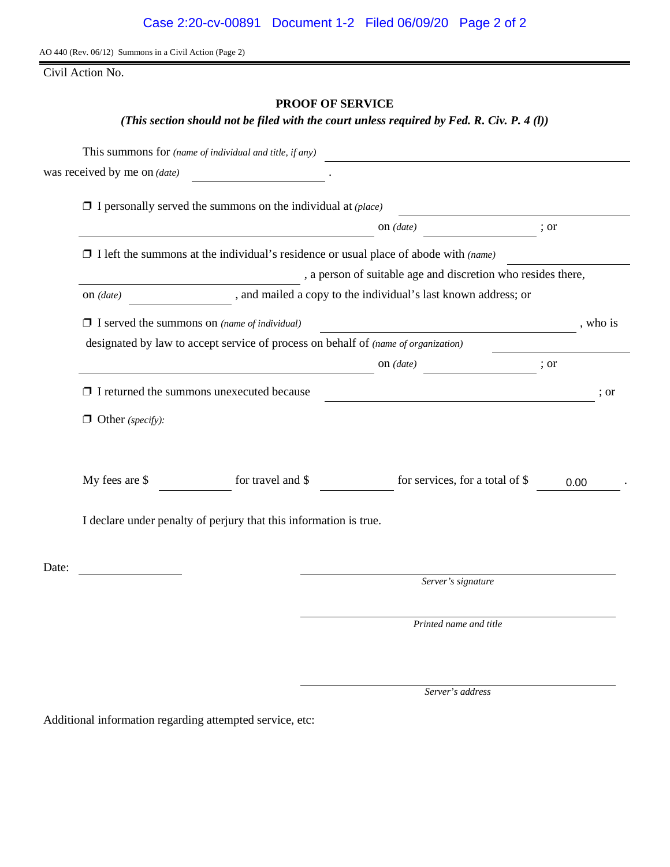AO 440 (Rev. 06/12) Summons in a Civil Action (Page 2)

Civil Action No.

#### **PROOF OF SERVICE**

#### *(This section should not be filed with the court unless required by Fed. R. Civ. P. 4 (l))*

| was received by me on (date)                                        |                                                                                             |                                                                  |      |          |  |
|---------------------------------------------------------------------|---------------------------------------------------------------------------------------------|------------------------------------------------------------------|------|----------|--|
| $\Box$ I personally served the summons on the individual at (place) |                                                                                             |                                                                  |      |          |  |
| on $(data)$<br>; or                                                 |                                                                                             |                                                                  |      |          |  |
|                                                                     | $\Box$ I left the summons at the individual's residence or usual place of abode with (name) |                                                                  |      |          |  |
| , a person of suitable age and discretion who resides there,        |                                                                                             |                                                                  |      |          |  |
| on $(data)$                                                         | , and mailed a copy to the individual's last known address; or                              |                                                                  |      |          |  |
|                                                                     | $\Box$ I served the summons on (name of individual)                                         |                                                                  |      | , who is |  |
|                                                                     | designated by law to accept service of process on behalf of (name of organization)          |                                                                  |      |          |  |
|                                                                     |                                                                                             | on $(data)$                                                      | ; or |          |  |
| $\Box$ I returned the summons unexecuted because                    |                                                                                             | <u> 1980 - Johann Barbara, martxa eta politikaria (h. 1908).</u> |      | ; or     |  |
| $\Box$ Other (specify):                                             |                                                                                             |                                                                  |      |          |  |
|                                                                     | My fees are $\text{\$}$ for travel and $\text{\$}$ for services, for a total of $\text{\$}$ |                                                                  | 0.00 |          |  |
|                                                                     | I declare under penalty of perjury that this information is true.                           |                                                                  |      |          |  |
|                                                                     |                                                                                             |                                                                  |      |          |  |
|                                                                     |                                                                                             | Server's signature                                               |      |          |  |
|                                                                     |                                                                                             | Printed name and title                                           |      |          |  |

*Server's address*

Additional information regarding attempted service, etc: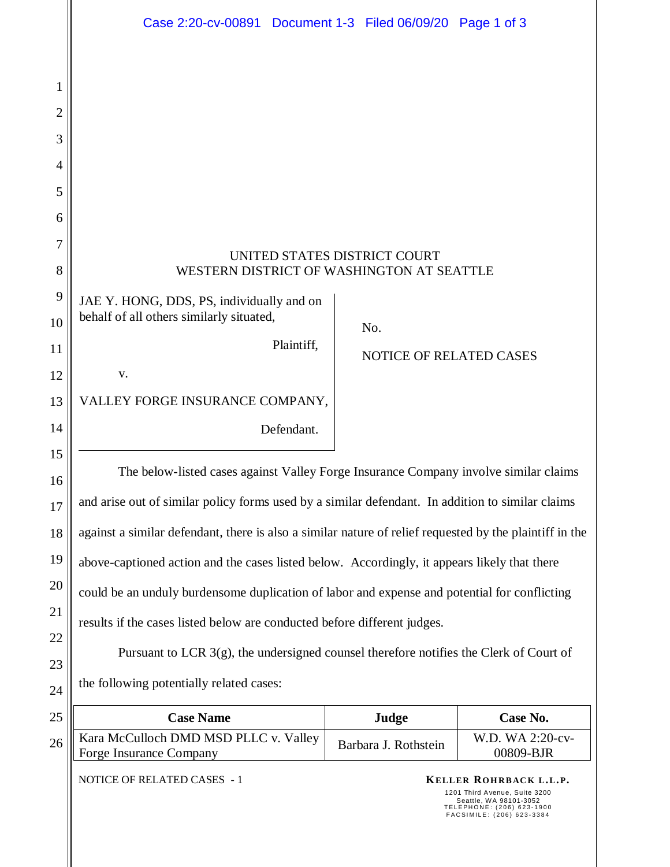|                | Case 2:20-cv-00891 Document 1-3 Filed 06/09/20 Page 1 of 3                                              |  |                                |                               |  |  |
|----------------|---------------------------------------------------------------------------------------------------------|--|--------------------------------|-------------------------------|--|--|
|                |                                                                                                         |  |                                |                               |  |  |
| 1              |                                                                                                         |  |                                |                               |  |  |
| $\overline{2}$ |                                                                                                         |  |                                |                               |  |  |
| 3              |                                                                                                         |  |                                |                               |  |  |
| 4              |                                                                                                         |  |                                |                               |  |  |
| 5              |                                                                                                         |  |                                |                               |  |  |
| 6              |                                                                                                         |  |                                |                               |  |  |
| 7              | UNITED STATES DISTRICT COURT                                                                            |  |                                |                               |  |  |
| 8              | WESTERN DISTRICT OF WASHINGTON AT SEATTLE                                                               |  |                                |                               |  |  |
| 9              | JAE Y. HONG, DDS, PS, individually and on                                                               |  |                                |                               |  |  |
| 10             | behalf of all others similarly situated,                                                                |  | No.                            |                               |  |  |
| 11             | Plaintiff,                                                                                              |  | <b>NOTICE OF RELATED CASES</b> |                               |  |  |
| 12             | V.                                                                                                      |  |                                |                               |  |  |
| 13             | VALLEY FORGE INSURANCE COMPANY,                                                                         |  |                                |                               |  |  |
| 14             | Defendant.                                                                                              |  |                                |                               |  |  |
| 15             | The below-listed cases against Valley Forge Insurance Company involve similar claims                    |  |                                |                               |  |  |
| 16<br>17       | and arise out of similar policy forms used by a similar defendant. In addition to similar claims        |  |                                |                               |  |  |
| 18             | against a similar defendant, there is also a similar nature of relief requested by the plaintiff in the |  |                                |                               |  |  |
| 19             |                                                                                                         |  |                                |                               |  |  |
| 20             | above-captioned action and the cases listed below. Accordingly, it appears likely that there            |  |                                |                               |  |  |
| 21             | could be an unduly burdensome duplication of labor and expense and potential for conflicting            |  |                                |                               |  |  |
| 22             | results if the cases listed below are conducted before different judges.                                |  |                                |                               |  |  |
| 23             | Pursuant to LCR $3(g)$ , the undersigned counsel therefore notifies the Clerk of Court of               |  |                                |                               |  |  |
| 24             | the following potentially related cases:                                                                |  |                                |                               |  |  |
| 25             | <b>Case Name</b>                                                                                        |  | Judge                          | Case No.                      |  |  |
| 26             | Kara McCulloch DMD MSD PLLC v. Valley<br>Forge Insurance Company                                        |  | Barbara J. Rothstein           | W.D. WA 2:20-cv-<br>00809-BJR |  |  |

**KELLER ROHRBACK L.L.P. KELLER ROHRBACK L.L.P.**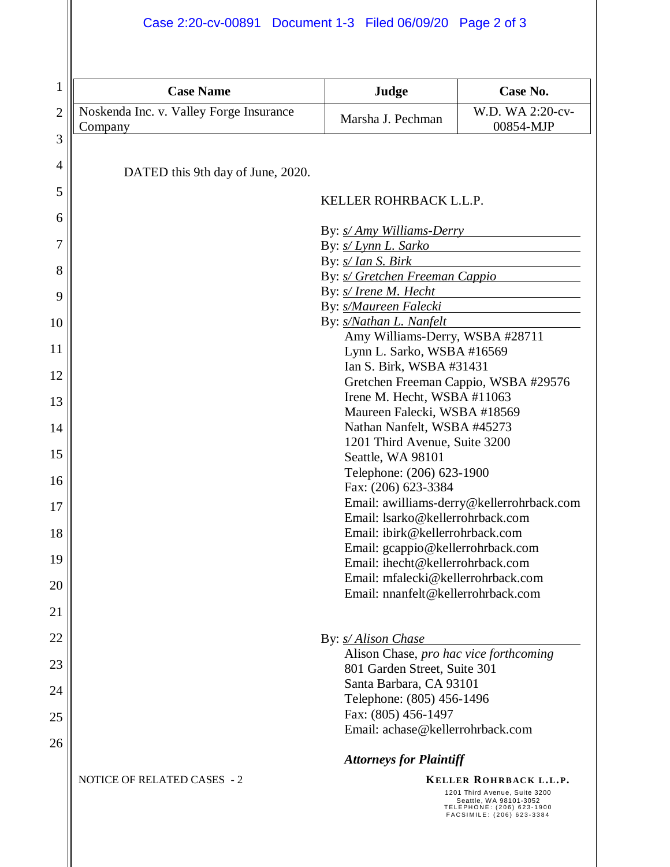| $\mathbf{1}$ | <b>Case Name</b>                                                      | Judge                                                          | Case No.                                                                                                                                    |  |  |
|--------------|-----------------------------------------------------------------------|----------------------------------------------------------------|---------------------------------------------------------------------------------------------------------------------------------------------|--|--|
| 2            | Noskenda Inc. v. Valley Forge Insurance<br>Company                    | Marsha J. Pechman                                              | W.D. WA 2:20-cv-<br>00854-MJP                                                                                                               |  |  |
| 3            |                                                                       |                                                                |                                                                                                                                             |  |  |
| 4            | DATED this 9th day of June, 2020.                                     |                                                                |                                                                                                                                             |  |  |
| 5            |                                                                       | KELLER ROHRBACK L.L.P.                                         |                                                                                                                                             |  |  |
| 6            |                                                                       |                                                                |                                                                                                                                             |  |  |
| 7            |                                                                       | By: <i>s/Amy Williams-Derry</i><br>By: <i>s/ Lynn L. Sarko</i> |                                                                                                                                             |  |  |
|              |                                                                       | By: <i>s/ Ian S. Birk</i>                                      |                                                                                                                                             |  |  |
| 8            |                                                                       | By: <i>s/ Gretchen Freeman Cappio</i>                          |                                                                                                                                             |  |  |
| 9            |                                                                       | By: s/ Irene M. Hecht                                          |                                                                                                                                             |  |  |
|              |                                                                       | By: s/Maureen Falecki                                          |                                                                                                                                             |  |  |
| 10           |                                                                       | By: s/Nathan L. Nanfelt<br>Amy Williams-Derry, WSBA #28711     |                                                                                                                                             |  |  |
| 11           |                                                                       | Lynn L. Sarko, WSBA #16569                                     |                                                                                                                                             |  |  |
|              |                                                                       | Ian S. Birk, WSBA #31431                                       |                                                                                                                                             |  |  |
| 12           |                                                                       | Gretchen Freeman Cappio, WSBA #29576                           |                                                                                                                                             |  |  |
| 13           |                                                                       | Irene M. Hecht, WSBA #11063                                    |                                                                                                                                             |  |  |
|              | Maureen Falecki, WSBA #18569                                          |                                                                |                                                                                                                                             |  |  |
| 14           | Nathan Nanfelt, WSBA #45273                                           |                                                                |                                                                                                                                             |  |  |
| 15           | 1201 Third Avenue, Suite 3200<br>Seattle, WA 98101                    |                                                                |                                                                                                                                             |  |  |
|              | Telephone: (206) 623-1900                                             |                                                                |                                                                                                                                             |  |  |
| 16           | Fax: (206) 623-3384                                                   |                                                                |                                                                                                                                             |  |  |
| 17           | Email: awilliams-derry@kellerrohrback.com                             |                                                                |                                                                                                                                             |  |  |
|              | Email: lsarko@kellerrohrback.com                                      |                                                                |                                                                                                                                             |  |  |
| 18           | Email: ibirk@kellerrohrback.com                                       |                                                                |                                                                                                                                             |  |  |
| 19           | Email: gcappio@kellerrohrback.com<br>Email: ihecht@kellerrohrback.com |                                                                |                                                                                                                                             |  |  |
|              |                                                                       | Email: mfalecki@kellerrohrback.com                             |                                                                                                                                             |  |  |
| 20           |                                                                       | Email: nnanfelt@kellerrohrback.com                             |                                                                                                                                             |  |  |
| 21           |                                                                       |                                                                |                                                                                                                                             |  |  |
| 22           |                                                                       | By: <i>s/Alison Chase</i>                                      |                                                                                                                                             |  |  |
| 23           |                                                                       | Alison Chase, pro hac vice forthcoming                         |                                                                                                                                             |  |  |
|              | 801 Garden Street, Suite 301<br>Santa Barbara, CA 93101               |                                                                |                                                                                                                                             |  |  |
| 24           | Telephone: (805) 456-1496                                             |                                                                |                                                                                                                                             |  |  |
| 25           |                                                                       | Fax: (805) 456-1497                                            |                                                                                                                                             |  |  |
| 26           |                                                                       | Email: achase@kellerrohrback.com                               |                                                                                                                                             |  |  |
|              |                                                                       | <b>Attorneys for Plaintiff</b>                                 |                                                                                                                                             |  |  |
|              | NOTICE OF RELATED CASES - 2                                           |                                                                | KELLER ROHRBACK L.L.P.<br>1201 Third Avenue, Suite 3200<br>Seattle, WA 98101-3052<br>TELEPHONE: (206) 623-1900<br>FACSIMILE: (206) 623-3384 |  |  |